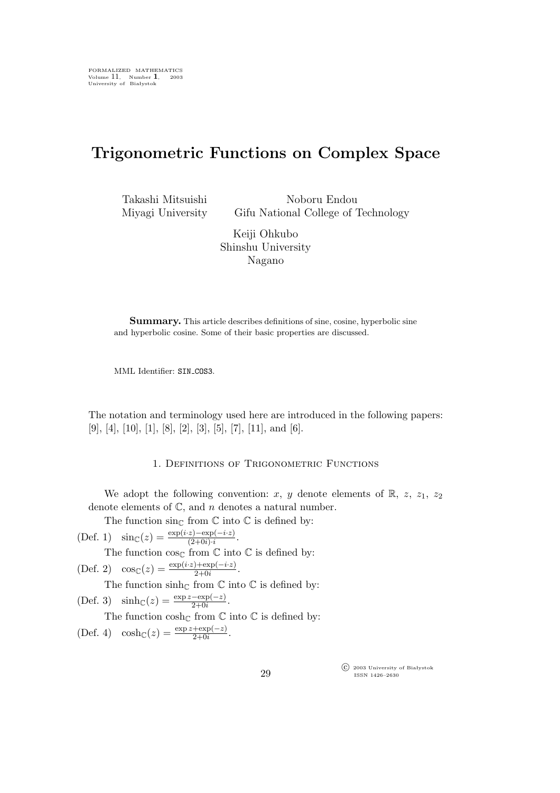## **Trigonometric Functions on Complex Space**

Takashi Mitsuishi Miyagi University

Noboru Endou Gifu National College of Technology

Keiji Ohkubo Shinshu University Nagano

**Summary.** This article describes definitions of sine, cosine, hyperbolic sine and hyperbolic cosine. Some of their basic properties are discussed.

MML Identifier: SIN\_COS3.

The notation and terminology used here are introduced in the following papers:  $[9], [4], [10], [1], [8], [2], [3], [5], [7], [11],$  and  $[6].$ 

## 1. Definitions of Trigonometric Functions

We adopt the following convention: x, y denote elements of  $\mathbb{R}$ , z, z<sub>1</sub>, z<sub>2</sub> denote elements of  $\mathbb{C}$ , and n denotes a natural number.

The function  $\sin\mathcal{C}$  from  $\mathbb C$  into  $\mathbb C$  is defined by:

(Def. 1)  $\sin(c(z)) = \frac{\exp(i(z) - \exp(-i(z))}{(2+0i)\cdot i}$ .

The function  $\cos\theta$  from  $\mathbb C$  into  $\mathbb C$  is defined by:

$$
(\text{Def. 2}) \quad \cos_{\mathbb{C}}(z) = \frac{\exp(i \cdot z) + \exp(-i \cdot z)}{2 + 0i}.
$$

The function  $\sinh_{\mathbb{C}}$  from  $\mathbb C$  into  $\mathbb C$  is defined by:

(Def. 3)  $\sinh_{\mathbb{C}}(z) = \frac{\exp z - \exp(-z)}{2 + 0i}$ .

The function  $\cosh_{\mathbb{C}}$  from  $\mathbb C$  into  $\mathbb C$  is defined by:

(Def. 4)  $\cosh\mathcal{C}(z) = \frac{\exp z + \exp(-z)}{2 + 0i}$ .

°c 2003 University of Białystok ISSN 1426–2630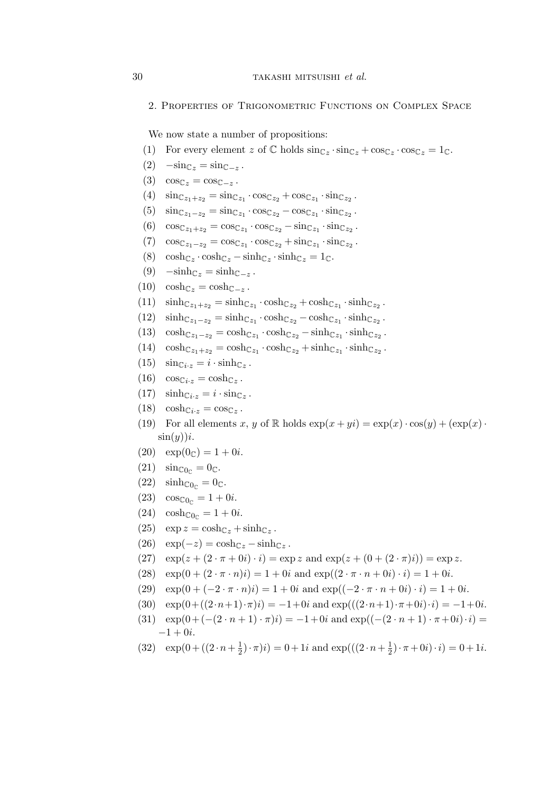2. Properties of Trigonometric Functions on Complex Space

We now state a number of propositions:

- (1) For every element z of  $\mathbb C$  holds  $\sin_{\mathbb Cz} \cdot \sin_{\mathbb Cz} + \cos_{\mathbb Cz} \cdot \cos_{\mathbb Cz} = 1_{\mathbb C}$ .
- $(2)$   $-\sin_{\mathbb{C}z} = \sin_{\mathbb{C} z}$ .
- (3)  $\cos \mathbb{C}_z = \cos \mathbb{C}_{-z}$ .
- (4)  $\sin_{\mathbb{C}z_1 + z_2} = \sin_{\mathbb{C}z_1} \cdot \cos_{\mathbb{C}z_2} + \cos_{\mathbb{C}z_1} \cdot \sin_{\mathbb{C}z_2}$ .
- $(5)$   $\sin_{\mathbb{C}z_1 z_2} = \sin_{\mathbb{C}z_1} \cdot \cos_{\mathbb{C}z_2} \cos_{\mathbb{C}z_1} \cdot \sin_{\mathbb{C}z_2}$ .
- (6)  $\cos_{\mathbb{C}z_1 + z_2} = \cos_{\mathbb{C}z_1} \cdot \cos_{\mathbb{C}z_2} \sin_{\mathbb{C}z_1} \cdot \sin_{\mathbb{C}z_2}$ .
- $(7) \quad \cos_{\mathbb{C}z_1 z_2} = \cos_{\mathbb{C}z_1} \cdot \cos_{\mathbb{C}z_2} + \sin_{\mathbb{C}z_1} \cdot \sin_{\mathbb{C}z_2}.$
- (8)  $\cosh_{\mathbb{C}z} \cdot \cosh_{\mathbb{C}z} \sinh_{\mathbb{C}z} \cdot \sinh_{\mathbb{C}z} = 1_{\mathbb{C}}.$
- $(9)$   $-\sinh_{\mathbb{C}z} = \sinh_{\mathbb{C} z}$ .
- (10)  $\cosh_{\mathbb{C}z} = \cosh_{\mathbb{C}-z}$ .
- (11)  $\sinh_{\mathbb{C}z_1+z_2} = \sinh_{\mathbb{C}z_1} \cdot \cosh_{\mathbb{C}z_2} + \cosh_{\mathbb{C}z_1} \cdot \sinh_{\mathbb{C}z_2}$ .
- (12)  $\sinh_{\mathbb{C}z_1-z_2} = \sinh_{\mathbb{C}z_1} \cdot \cosh_{\mathbb{C}z_2} \cosh_{\mathbb{C}z_1} \cdot \sinh_{\mathbb{C}z_2}$ .
- (13)  $\cosh c_{z_1-z_2} = \cosh c_{z_1} \cdot \cosh c_{z_2} \sinh c_{z_1} \cdot \sinh c_{z_2}$ .
- (14)  $\cosh c_{z_1+z_2} = \cosh c_{z_1} \cdot \cosh c_{z_2} + \sinh c_{z_1} \cdot \sinh c_{z_2}$ .
- (15)  $\sin_{\mathbb{C}i \cdot z} = i \cdot \sinh_{\mathbb{C}z}$ .
- $(16) \quad \cos_{\mathbb{C}i \cdot z} = \cosh_{\mathbb{C}z}.$
- (17)  $\sinh_{\mathbb{C}i \cdot z} = i \cdot \sin_{\mathbb{C}z}$ .
- $(18) \quad \cosh_{\mathbb{C}i \cdot z} = \cos_{\mathbb{C}z}$ .
- (19) For all elements x, y of R holds  $\exp(x+yi) = \exp(x) \cdot \cos(y) + (\exp(x) \cdot$  $\sin(y))$ *i*.
- $(20) \quad \exp(0) = 1 + 0i.$
- $(21)$   $\sin \mathfrak{c}_{0c} = 0$ c.
- $(22)$   $\sinh\mathcal{L}_{0c} = 0$  $\mathcal{L}$ .
- $(23) \quad \cos_{\mathbb{C}0_{\mathbb{C}}} = 1 + 0i.$
- $(24) \cosh_{\mathbb{C}0_c} = 1 + 0i.$
- (25)  $\exp z = \cosh z + \sinh z$ .
- (26)  $\exp(-z) = \cosh_{\mathbb{C}z} \sinh_{\mathbb{C}z}$ .
- (27)  $\exp(z + (2 \cdot \pi + 0i) \cdot i) = \exp z$  and  $\exp(z + (0 + (2 \cdot \pi)i)) = \exp z$ .
- (28)  $\exp(0 + (2 \cdot \pi \cdot n)i) = 1 + 0i$  and  $\exp((2 \cdot \pi \cdot n + 0i) \cdot i) = 1 + 0i$ .
- (29)  $\exp(0+(-2\cdot \pi \cdot n)i) = 1+0i$  and  $\exp((-2\cdot \pi \cdot n+0i)\cdot i) = 1+0i$ .
- (30)  $\exp(0 + ((2 \cdot n+1) \cdot \pi)i) = -1 + 0i$  and  $\exp(((2 \cdot n+1) \cdot \pi + 0i) \cdot i) = -1 + 0i$ .
- (31)  $\exp(0+(-(2 \cdot n+1) \cdot \pi)i) = -1+0i$  and  $\exp((-2 \cdot n+1) \cdot \pi+0i) \cdot i) =$  $-1 + 0i$ .
- (32)  $\exp(0 + ((2 \cdot n + \frac{1}{2}))$  $(\frac{1}{2}) \cdot \pi(i) = 0 + 1i$  and  $\exp(((2 \cdot n + \frac{1}{2})$  $(\frac{1}{2}) \cdot \pi + 0i) \cdot i = 0 + 1i.$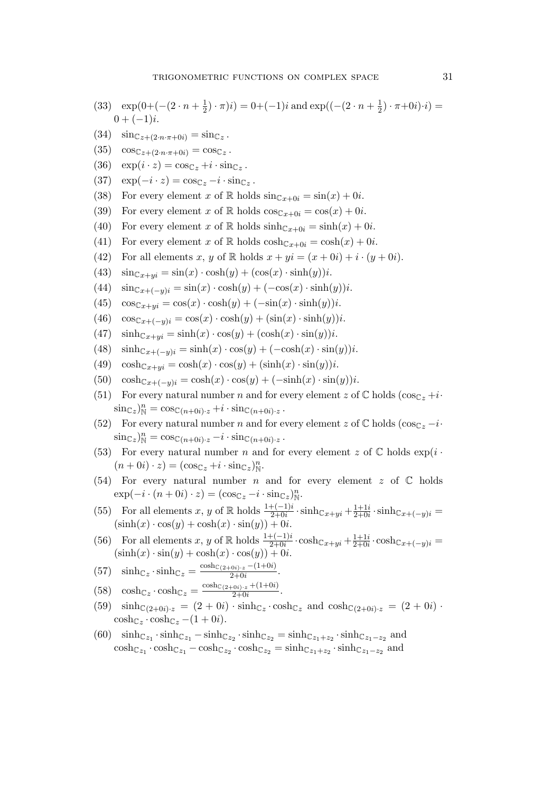- (33)  $\exp(0+(-(2 \cdot n + \frac{1}{2}))$  $(\frac{1}{2}) \cdot \pi(i) = 0 + (-1)i$  and exp( $(-(2 \cdot n + \frac{1}{2})$  $(\frac{1}{2}) \cdot \pi + 0i) \cdot i) =$  $0 + (-1)i$ .
- $(34) \quad \sin_{\mathbb{C}z + (2 \cdot n \cdot \pi + 0i)} = \sin_{\mathbb{C}z}$ .
- $(35) \quad \cos_{\mathbb{C}z + (2 \cdot n \cdot \pi + 0i)} = \cos_{\mathbb{C}z}.$
- (36)  $\exp(i \cdot z) = \cos_{\mathbb{C}z} + i \cdot \sin_{\mathbb{C}z}$ .
- $(37) \quad \exp(-i \cdot z) = \cos_{\mathbb{C}z} -i \cdot \sin_{\mathbb{C}z}.$
- (38) For every element x of R holds  $\sin_{\mathbb{C}x+0i} = \sin(x) + 0i$ .
- (39) For every element x of R holds  $\cos_{\mathbb{C}x+0i} = \cos(x) + 0i$ .
- (40) For every element x of R holds  $sinh_{\mathbb{C}x+0i} = sinh(x) + 0i$ .
- (41) For every element x of R holds  $\cosh_{\mathbb{C}x+i0i} = \cosh(x) + 0i$ .
- (42) For all elements x, y of R holds  $x + yi = (x + 0i) + i \cdot (y + 0i)$ .
- (43)  $\sin_{\mathbb{C}x+yi} = \sin(x) \cdot \cosh(y) + (\cos(x) \cdot \sinh(y))i.$
- (44)  $\sin c_{x+(-y)i} = \sin(x) \cdot \cosh(y) + (-\cos(x) \cdot \sinh(y))i.$
- (45)  $\cos c_{x+yi} = \cos(x) \cdot \cosh(y) + (-\sin(x) \cdot \sinh(y))i.$
- (46)  $\cos c_{x+(-y)i} = \cos(x) \cdot \cosh(y) + (\sin(x) \cdot \sinh(y))i$ .
- (47)  $\sinh_{\mathbb{C}x+yi} = \sinh(x) \cdot \cos(y) + (\cosh(x) \cdot \sin(y))i$ .
- (48)  $\sinh_{\mathbb{C}x+(-y)i} = \sinh(x) \cdot \cos(y) + (-\cosh(x) \cdot \sin(y))i.$
- (49)  $\cosh c_{x+yi} = \cosh(x) \cdot \cos(y) + (\sinh(x) \cdot \sin(y))i.$
- (50)  $\cosh_{\mathbb{C}x+(-y)i} = \cosh(x) \cdot \cos(y) + (-\sinh(x) \cdot \sin(y))i.$
- (51) For every natural number n and for every element z of  $\mathbb C$  holds  $(\cos_{\mathbb C} z+i\cdot\cdot\cdot)$  $\sin\mathbb{C}_z^n$  =  $\cos\mathbb{C}(n+0i) \cdot z + i \cdot \sin\mathbb{C}(n+0i) \cdot z$ .
- (52) For every natural number n and for every element z of  $\mathbb C$  holds (cos<sub> $\mathbb Cz$ </sub> −i<sup>*·*</sup>  $\sin_{\mathbb{C}z}$ )<sub>N</sub><sup>n</sup> =  $\cos_{\mathbb{C}(n+0i)\cdot z} - i \cdot \sin_{\mathbb{C}(n+0i)\cdot z}$ .
- (53) For every natural number n and for every element z of  $\mathbb C$  holds  $\exp(i \cdot \mathbb{C})$  $(n+0i)\cdot z$  =  $(\cos_{\mathbb{C}z}+i\cdot\sin_{\mathbb{C}z})^n_{\mathbb{N}}$ .
- (54) For every natural number n and for every element z of  $\mathbb C$  holds  $\exp(-i \cdot (n+0i) \cdot z) = (\cos_{\mathbb{C}z} - i \cdot \sin_{\mathbb{C}z})_{\mathbb{N}}^n$ .
- (55) For all elements x, y of R holds  $\frac{1+(-1)i}{2+0i} \cdot \sinh_{C_x+y_i} + \frac{1+1i}{2+0i}$  $\frac{1+1i}{2+0i} \cdot \sinh(c_{x+(-y)i}) =$  $(\sinh(x) \cdot \cos(y) + \cosh(x) \cdot \sin(y)) + 0i.$
- (56) For all elements x, y of R holds  $\frac{1+(-1)i}{2+0i} \cdot \cosh_{\mathbb{C}x+yi} + \frac{1+1i}{2+0i}$  $\frac{1+1i}{2+0i} \cdot \cosh_{\mathbb{C}x+(-y)i} =$  $(\sinh(x) \cdot \sin(y) + \cosh(x) \cdot \cos(y)) + 0i.$

.

(57) 
$$
\sinh_{\mathbb{C}z} \cdot \sinh_{\mathbb{C}z} = \frac{\cosh_{\mathbb{C}(2+0i)\cdot z} - (1+0i)}{2+0i}
$$

- $(58) \quad \cosh c_z \cdot \cosh c_z = \frac{\cosh c_{(2+0i)\cdot z} + (1+0i)}{2+0i}$ 2+0i .
- $(59)$   $\sinh_{\mathbb{C}(2+0i)\cdot z} = (2+0i) \cdot \sinh_{\mathbb{C}z} \cdot \cosh_{\mathbb{C}z}$  and  $\cosh_{\mathbb{C}(2+0i)\cdot z} = (2+0i) \cdot$  $\cosh_{\mathbb{C}z} \cdot \cosh_{\mathbb{C}z} -(1+0i).$
- (60)  $\sinh_{\mathbb{C}z_1} \cdot \sinh_{\mathbb{C}z_1} \sinh_{\mathbb{C}z_2} \cdot \sinh_{\mathbb{C}z_1} = \sinh_{\mathbb{C}z_1 + z_2} \cdot \sinh_{\mathbb{C}z_1 z_2}$  and  $\cosh c_{z_1} \cdot \cosh c_{z_1} - \cosh c_{z_2} \cdot \cosh c_{z_2} = \sinh c_{z_1 + z_2} \cdot \sinh c_{z_1 - z_2}$  and